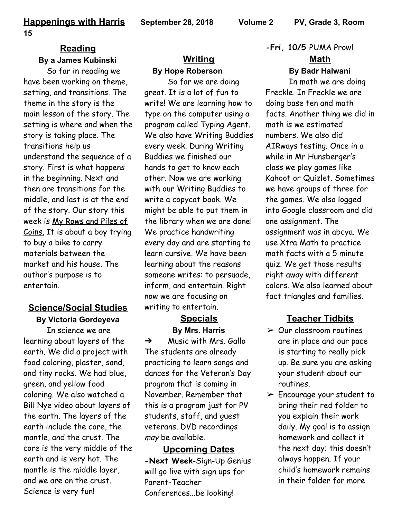#### **Reading By a James Kubinski**

So far in reading we have been working on theme, setting, and transitions. The theme in the story is the main lesson of the story. The setting is where and when the story is taking place. The transitions help us understand the sequence of a story. First is what happens in the beginning. Next and then are transitions for the middle, and last is at the end of the story. Our story this week is My Rows and Piles of Coins. It is about a boy trying to buy a bike to carry materials between the market and his house. The author's purpose is to entertain.

# **Science/Social Studies By Victoria Gordeyeva**

In science we are learning about layers of the earth. We did a project with food coloring, plaster, sand, and tiny rocks. We had blue, green, and yellow food coloring. We also watched a Bill Nye video about layers of the earth. The layers of the earth include the core, the mantle, and the crust. The core is the very middle of the earth and is very hot. The mantle is the middle layer, and we are on the crust. Science is very fun!

# **Writing By Hope Roberson**

So far we are doing great. It is a lot of fun to write! We are learning how to type on the computer using a program called Typing Agent. We also have Writing Buddies every week. During Writing Buddies we finished our hands to get to know each other. Now we are working with our Writing Buddies to write a copycat book. We might be able to put them in the library when we are done! We practice handwriting every day and are starting to learn cursive. We have been learning about the reasons someone writes: to persuade, inform, and entertain. Right now we are focusing on writing to entertain.

## **Specials By Mrs. Harris**

 $\rightarrow$  Music with Mrs. Gallo The students are already practicing to learn songs and dances for the Veteran's Day program that is coming in November. Remember that this is a program just for PV students, staff, and guest veterans. DVD recordings may be available.

**Upcoming Dates -Next Week**-Sign-Up Genius will go live with sign ups for Parent-Teacher Conferences...be looking!

**-Fri, 10/5**-PUMA Prowl **Math**

#### **By Badr Halwani**

In math we are doing Freckle. In Freckle we are doing base ten and math facts. Another thing we did in math is we estimated numbers. We also did AIRways testing. Once in a while in Mr Hunsberger's class we play games like Kahoot or Quizlet. Sometimes we have groups of three for the games. We also logged into Google classroom and did one assignment. The assignment was in abcya. We use Xtra Math to practice math facts with a 5 minute quiz. We get those results right away with different colors. We also learned about fact triangles and families.

## **Teacher Tidbits**

- $\geq$  Our classroom routines are in place and our pace is starting to really pick up. Be sure you are asking your student about our routines.
- $\triangleright$  Encourage your student to bring their red folder to you explain their work daily. My goal is to assign homework and collect it the next day; this doesn't always happen. If your child's homework remains in their folder for more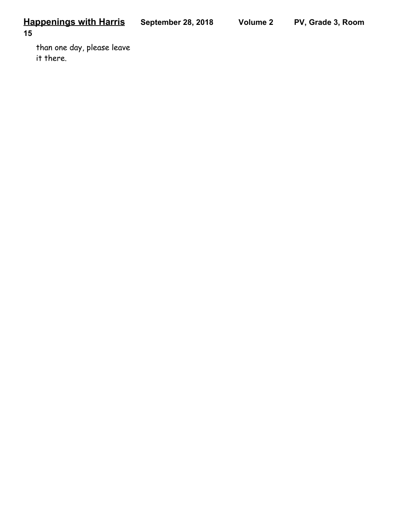**15**

than one day, please leave it there.